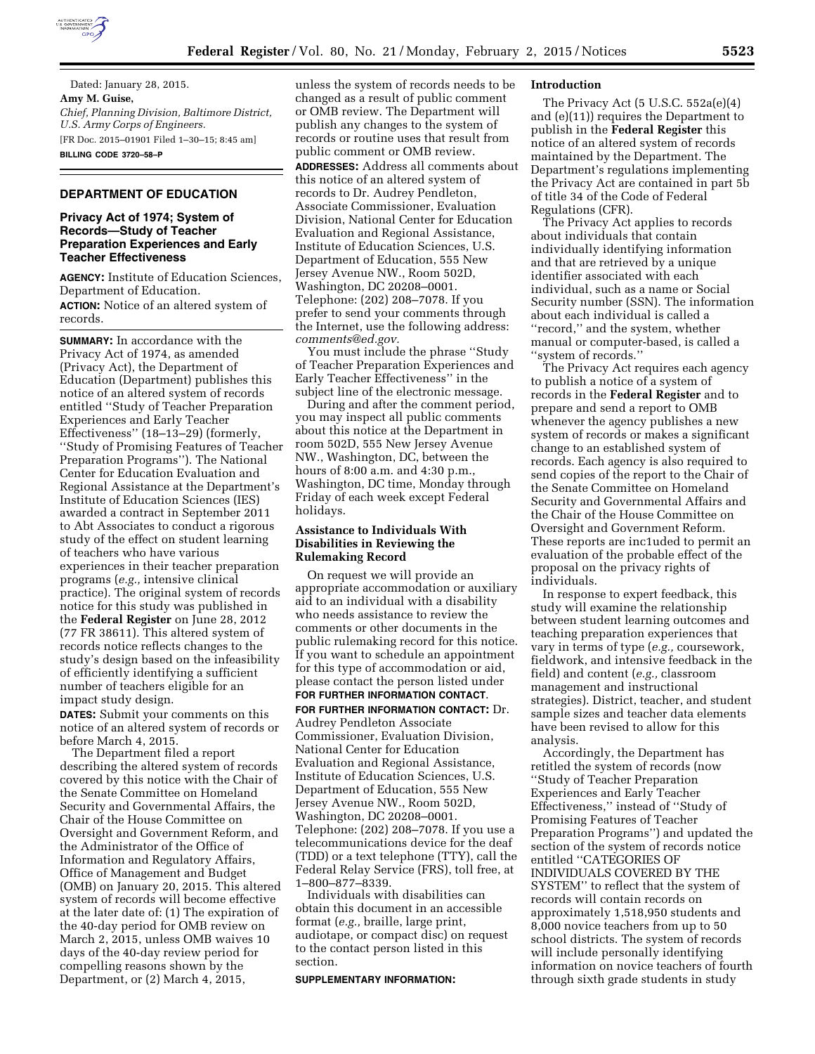

Dated: January 28, 2015. **Amy M. Guise,**  *Chief, Planning Division, Baltimore District, U.S. Army Corps of Engineers.*  [FR Doc. 2015–01901 Filed 1–30–15; 8:45 am] **BILLING CODE 3720–58–P** 

### **DEPARTMENT OF EDUCATION**

## **Privacy Act of 1974; System of Records—Study of Teacher Preparation Experiences and Early Teacher Effectiveness**

**AGENCY:** Institute of Education Sciences, Department of Education. **ACTION:** Notice of an altered system of records.

**SUMMARY:** In accordance with the Privacy Act of 1974, as amended (Privacy Act), the Department of Education (Department) publishes this notice of an altered system of records entitled ''Study of Teacher Preparation Experiences and Early Teacher Effectiveness'' (18–13–29) (formerly, ''Study of Promising Features of Teacher Preparation Programs''). The National Center for Education Evaluation and Regional Assistance at the Department's Institute of Education Sciences (IES) awarded a contract in September 2011 to Abt Associates to conduct a rigorous study of the effect on student learning of teachers who have various experiences in their teacher preparation programs (*e.g.,* intensive clinical practice). The original system of records notice for this study was published in the **Federal Register** on June 28, 2012 (77 FR 38611). This altered system of records notice reflects changes to the study's design based on the infeasibility of efficiently identifying a sufficient number of teachers eligible for an impact study design.

**DATES:** Submit your comments on this notice of an altered system of records or before March 4, 2015.

The Department filed a report describing the altered system of records covered by this notice with the Chair of the Senate Committee on Homeland Security and Governmental Affairs, the Chair of the House Committee on Oversight and Government Reform, and the Administrator of the Office of Information and Regulatory Affairs, Office of Management and Budget (OMB) on January 20, 2015. This altered system of records will become effective at the later date of: (1) The expiration of the 40-day period for OMB review on March 2, 2015, unless OMB waives 10 days of the 40-day review period for compelling reasons shown by the Department, or (2) March 4, 2015,

unless the system of records needs to be changed as a result of public comment or OMB review. The Department will publish any changes to the system of records or routine uses that result from public comment or OMB review. **ADDRESSES:** Address all comments about this notice of an altered system of

records to Dr. Audrey Pendleton, Associate Commissioner, Evaluation Division, National Center for Education Evaluation and Regional Assistance, Institute of Education Sciences, U.S. Department of Education, 555 New Jersey Avenue NW., Room 502D, Washington, DC 20208–0001. Telephone: (202) 208–7078. If you prefer to send your comments through the Internet, use the following address: *[comments@ed.gov.](mailto:comments@ed.gov)* 

You must include the phrase ''Study of Teacher Preparation Experiences and Early Teacher Effectiveness'' in the subject line of the electronic message.

During and after the comment period, you may inspect all public comments about this notice at the Department in room 502D, 555 New Jersey Avenue NW., Washington, DC, between the hours of 8:00 a.m. and 4:30 p.m., Washington, DC time, Monday through Friday of each week except Federal holidays.

## **Assistance to Individuals With Disabilities in Reviewing the Rulemaking Record**

On request we will provide an appropriate accommodation or auxiliary aid to an individual with a disability who needs assistance to review the comments or other documents in the public rulemaking record for this notice. If you want to schedule an appointment for this type of accommodation or aid, please contact the person listed under **FOR FURTHER INFORMATION CONTACT**.

**FOR FURTHER INFORMATION CONTACT:** Dr. Audrey Pendleton Associate Commissioner, Evaluation Division, National Center for Education Evaluation and Regional Assistance, Institute of Education Sciences, U.S. Department of Education, 555 New Jersey Avenue NW., Room 502D, Washington, DC 20208–0001. Telephone: (202) 208–7078. If you use a telecommunications device for the deaf (TDD) or a text telephone (TTY), call the Federal Relay Service (FRS), toll free, at 1–800–877–8339.

Individuals with disabilities can obtain this document in an accessible format (*e.g.,* braille, large print, audiotape, or compact disc) on request to the contact person listed in this section.

#### **SUPPLEMENTARY INFORMATION:**

## **Introduction**

The Privacy Act (5 U.S.C. 552a(e)(4) and (e)(11)) requires the Department to publish in the **Federal Register** this notice of an altered system of records maintained by the Department. The Department's regulations implementing the Privacy Act are contained in part 5b of title 34 of the Code of Federal Regulations (CFR).

The Privacy Act applies to records about individuals that contain individually identifying information and that are retrieved by a unique identifier associated with each individual, such as a name or Social Security number (SSN). The information about each individual is called a ''record,'' and the system, whether manual or computer-based, is called a ''system of records.''

The Privacy Act requires each agency to publish a notice of a system of records in the **Federal Register** and to prepare and send a report to OMB whenever the agency publishes a new system of records or makes a significant change to an established system of records. Each agency is also required to send copies of the report to the Chair of the Senate Committee on Homeland Security and Governmental Affairs and the Chair of the House Committee on Oversight and Government Reform. These reports are inc1uded to permit an evaluation of the probable effect of the proposal on the privacy rights of individuals.

In response to expert feedback, this study will examine the relationship between student learning outcomes and teaching preparation experiences that vary in terms of type (*e.g.,* coursework, fieldwork, and intensive feedback in the field) and content (*e.g.,* classroom management and instructional strategies). District, teacher, and student sample sizes and teacher data elements have been revised to allow for this analysis.

Accordingly, the Department has retitled the system of records (now ''Study of Teacher Preparation Experiences and Early Teacher Effectiveness,'' instead of ''Study of Promising Features of Teacher Preparation Programs'') and updated the section of the system of records notice entitled ''CATEGORIES OF INDIVIDUALS COVERED BY THE SYSTEM'' to reflect that the system of records will contain records on approximately 1,518,950 students and 8,000 novice teachers from up to 50 school districts. The system of records will include personally identifying information on novice teachers of fourth through sixth grade students in study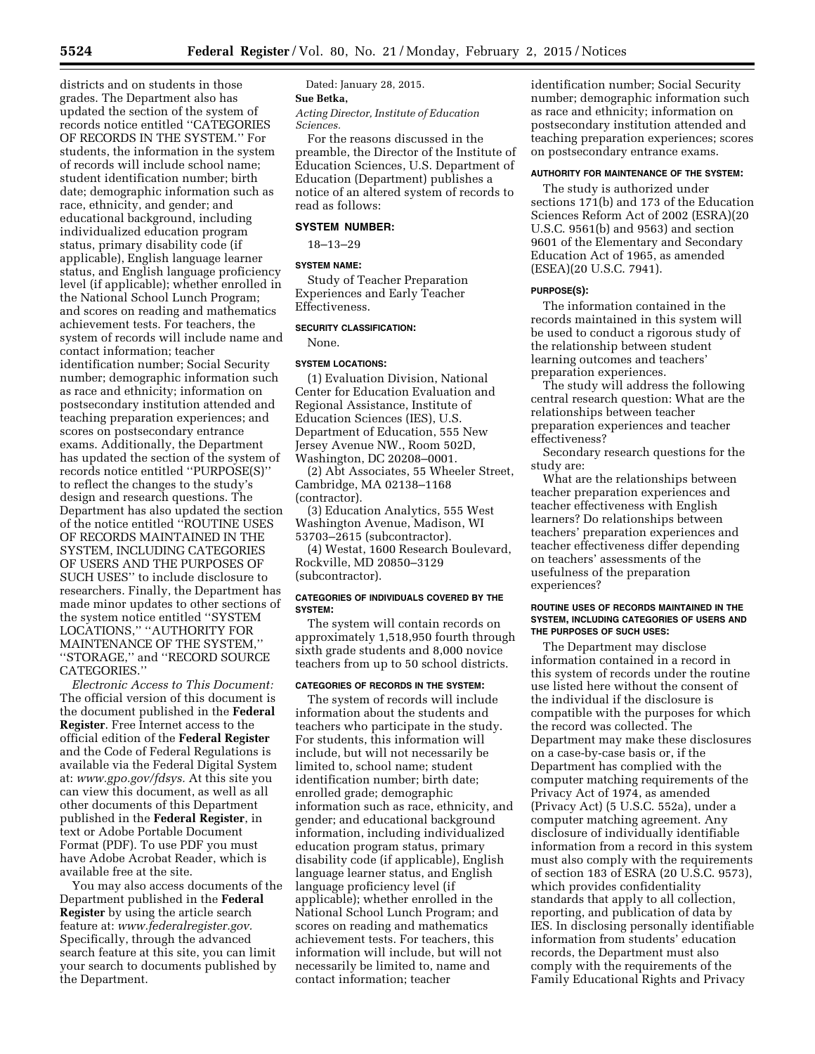districts and on students in those grades. The Department also has updated the section of the system of records notice entitled ''CATEGORIES OF RECORDS IN THE SYSTEM.'' For students, the information in the system of records will include school name; student identification number; birth date; demographic information such as race, ethnicity, and gender; and educational background, including individualized education program status, primary disability code (if applicable), English language learner status, and English language proficiency level (if applicable); whether enrolled in the National School Lunch Program; and scores on reading and mathematics achievement tests. For teachers, the system of records will include name and contact information; teacher identification number; Social Security number; demographic information such as race and ethnicity; information on postsecondary institution attended and teaching preparation experiences; and scores on postsecondary entrance exams. Additionally, the Department has updated the section of the system of records notice entitled ''PURPOSE(S)'' to reflect the changes to the study's design and research questions. The Department has also updated the section of the notice entitled ''ROUTINE USES OF RECORDS MAINTAINED IN THE SYSTEM, INCLUDING CATEGORIES OF USERS AND THE PURPOSES OF SUCH USES'' to include disclosure to researchers. Finally, the Department has made minor updates to other sections of the system notice entitled ''SYSTEM LOCATIONS,'' ''AUTHORITY FOR MAINTENANCE OF THE SYSTEM,'' ''STORAGE,'' and ''RECORD SOURCE CATEGORIES.''

*Electronic Access to This Document:*  The official version of this document is the document published in the **Federal Register**. Free Internet access to the official edition of the **Federal Register**  and the Code of Federal Regulations is available via the Federal Digital System at: *[www.gpo.gov/fdsys.](http://www.gpo.gov/fdsys)* At this site you can view this document, as well as all other documents of this Department published in the **Federal Register**, in text or Adobe Portable Document Format (PDF). To use PDF you must have Adobe Acrobat Reader, which is available free at the site.

You may also access documents of the Department published in the **Federal Register** by using the article search feature at: *[www.federalregister.gov.](http://www.federalregister.gov)*  Specifically, through the advanced search feature at this site, you can limit your search to documents published by the Department.

Dated: January 28, 2015. **Sue Betka,**  *Acting Director, Institute of Education* 

*Sciences.* 

For the reasons discussed in the preamble, the Director of the Institute of Education Sciences, U.S. Department of Education (Department) publishes a notice of an altered system of records to read as follows:

#### **SYSTEM NUMBER:**

18–13–29

#### **SYSTEM NAME:**

Study of Teacher Preparation Experiences and Early Teacher Effectiveness.

### **SECURITY CLASSIFICATION:**  None.

### **SYSTEM LOCATIONS:**

(1) Evaluation Division, National Center for Education Evaluation and Regional Assistance, Institute of Education Sciences (IES), U.S. Department of Education, 555 New Jersey Avenue NW., Room 502D, Washington, DC 20208–0001.

(2) Abt Associates, 55 Wheeler Street, Cambridge, MA 02138–1168 (contractor).

(3) Education Analytics, 555 West Washington Avenue, Madison, WI 53703–2615 (subcontractor).

(4) Westat, 1600 Research Boulevard, Rockville, MD 20850–3129 (subcontractor).

#### **CATEGORIES OF INDIVIDUALS COVERED BY THE SYSTEM:**

The system will contain records on approximately 1,518,950 fourth through sixth grade students and 8,000 novice teachers from up to 50 school districts.

### **CATEGORIES OF RECORDS IN THE SYSTEM:**

The system of records will include information about the students and teachers who participate in the study. For students, this information will include, but will not necessarily be limited to, school name; student identification number; birth date; enrolled grade; demographic information such as race, ethnicity, and gender; and educational background information, including individualized education program status, primary disability code (if applicable), English language learner status, and English language proficiency level (if applicable); whether enrolled in the National School Lunch Program; and scores on reading and mathematics achievement tests. For teachers, this information will include, but will not necessarily be limited to, name and contact information; teacher

identification number; Social Security number; demographic information such as race and ethnicity; information on postsecondary institution attended and teaching preparation experiences; scores on postsecondary entrance exams.

# **AUTHORITY FOR MAINTENANCE OF THE SYSTEM:**

The study is authorized under sections 171(b) and 173 of the Education Sciences Reform Act of 2002 (ESRA)(20 U.S.C. 9561(b) and 9563) and section 9601 of the Elementary and Secondary Education Act of 1965, as amended (ESEA)(20 U.S.C. 7941).

### **PURPOSE(S):**

The information contained in the records maintained in this system will be used to conduct a rigorous study of the relationship between student learning outcomes and teachers' preparation experiences.

The study will address the following central research question: What are the relationships between teacher preparation experiences and teacher effectiveness?

Secondary research questions for the study are:

What are the relationships between teacher preparation experiences and teacher effectiveness with English learners? Do relationships between teachers' preparation experiences and teacher effectiveness differ depending on teachers' assessments of the usefulness of the preparation experiences?

### **ROUTINE USES OF RECORDS MAINTAINED IN THE SYSTEM, INCLUDING CATEGORIES OF USERS AND THE PURPOSES OF SUCH USES:**

The Department may disclose information contained in a record in this system of records under the routine use listed here without the consent of the individual if the disclosure is compatible with the purposes for which the record was collected. The Department may make these disclosures on a case-by-case basis or, if the Department has complied with the computer matching requirements of the Privacy Act of 1974, as amended (Privacy Act) (5 U.S.C. 552a), under a computer matching agreement. Any disclosure of individually identifiable information from a record in this system must also comply with the requirements of section 183 of ESRA (20 U.S.C. 9573), which provides confidentiality standards that apply to all collection, reporting, and publication of data by IES. In disclosing personally identifiable information from students' education records, the Department must also comply with the requirements of the Family Educational Rights and Privacy